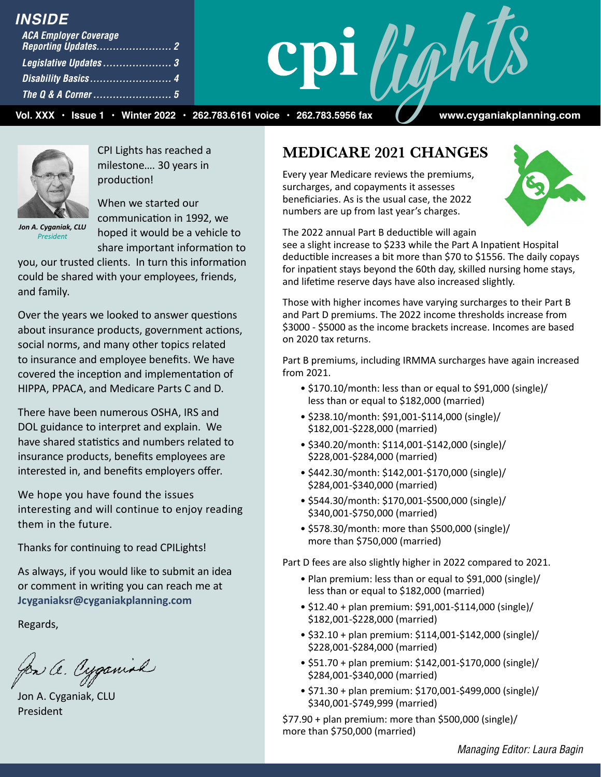### *INSIDE*

| <b>ACA Employer Coverage</b> |  |
|------------------------------|--|
| Legislative Updates3         |  |
|                              |  |
|                              |  |

 **Vol. XXX • Issue 1 • Winter 2022 • 262.783.6161 voice • 262.783.5956 fax www.cyganiakplanning.com**

**Lights** 



CPI Lights has reached a milestone…. 30 years in

*Jon A. Cyganiak, CLU President*

production! When we started our communication in 1992, we

hoped it would be a vehicle to share important information to

you, our trusted clients. In turn this information could be shared with your employees, friends, and family.

Over the years we looked to answer questions about insurance products, government actions, social norms, and many other topics related to insurance and employee benefits. We have covered the inception and implementation of HIPPA, PPACA, and Medicare Parts C and D.

There have been numerous OSHA, IRS and DOL guidance to interpret and explain. We have shared statistics and numbers related to insurance products, benefits employees are interested in, and benefits employers offer.

We hope you have found the issues interesting and will continue to enjoy reading them in the future.

Thanks for continuing to read CPILights!

As always, if you would like to submit an idea or comment in writing you can reach me at **Jcyganiaksr@cyganiakplanning.com**

Regards,

Jon a. Cyganish

Jon A. Cyganiak, CLU President

### **MEDICARE 2021 CHANGES**

Every year Medicare reviews the premiums, surcharges, and copayments it assesses beneficiaries. As is the usual case, the 2022 numbers are up from last year's charges.



The 2022 annual Part B deductible will again

see a slight increase to \$233 while the Part A Inpatient Hospital deductible increases a bit more than \$70 to \$1556. The daily copays for inpatient stays beyond the 60th day, skilled nursing home stays, and lifetime reserve days have also increased slightly.

Those with higher incomes have varying surcharges to their Part B and Part D premiums. The 2022 income thresholds increase from \$3000 - \$5000 as the income brackets increase. Incomes are based on 2020 tax returns.

Part B premiums, including IRMMA surcharges have again increased from 2021.

- \$170.10/month: less than or equal to \$91,000 (single)/ less than or equal to \$182,000 (married)
- \$238.10/month: \$91,001-\$114,000 (single)/ \$182,001-\$228,000 (married)
- \$340.20/month: \$114,001-\$142,000 (single)/ \$228,001-\$284,000 (married)
- \$442.30/month: \$142,001-\$170,000 (single)/ \$284,001-\$340,000 (married)
- \$544.30/month: \$170,001-\$500,000 (single)/ \$340,001-\$750,000 (married)
- \$578.30/month: more than \$500,000 (single)/ more than \$750,000 (married)

Part D fees are also slightly higher in 2022 compared to 2021.

- Plan premium: less than or equal to \$91,000 (single)/ less than or equal to \$182,000 (married)
- \$12.40 + plan premium: \$91,001-\$114,000 (single)/ \$182,001-\$228,000 (married)
- \$32.10 + plan premium: \$114,001-\$142,000 (single)/ \$228,001-\$284,000 (married)
- \$51.70 + plan premium: \$142,001-\$170,000 (single)/ \$284,001-\$340,000 (married)
- \$71.30 + plan premium: \$170,001-\$499,000 (single)/ \$340,001-\$749,999 (married)

\$77.90 + plan premium: more than \$500,000 (single)/ more than \$750,000 (married)

*Managing Editor: Laura Bagin*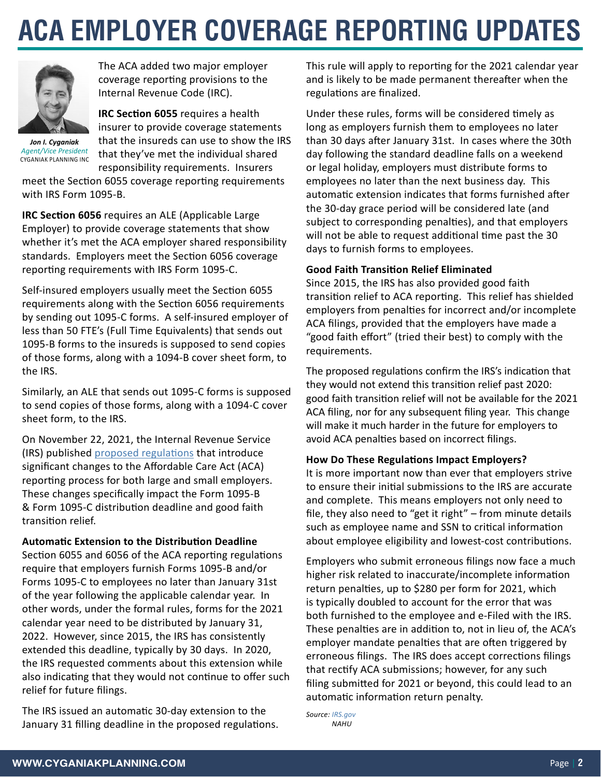# **ACA EMPLOYER COVERAGE REPORTING UPDATES**



The ACA added two major employer coverage reporting provisions to the Internal Revenue Code (IRC).

*Jon I. Cyganiak Agent/Vice President* CYGANIAK PLANNING INC **IRC Section 6055** requires a health insurer to provide coverage statements that the insureds can use to show the IRS that they've met the individual shared responsibility requirements. Insurers

meet the Section 6055 coverage reporting requirements with IRS Form 1095-B.

**IRC Section 6056** requires an ALE (Applicable Large Employer) to provide coverage statements that show whether it's met the ACA employer shared responsibility standards. Employers meet the Section 6056 coverage reporting requirements with IRS Form 1095-C.

Self-insured employers usually meet the Section 6055 requirements along with the Section 6056 requirements by sending out 1095-C forms. A self-insured employer of less than 50 FTE's (Full Time Equivalents) that sends out 1095-B forms to the insureds is supposed to send copies of those forms, along with a 1094-B cover sheet form, to the IRS.

Similarly, an ALE that sends out 1095-C forms is supposed to send copies of those forms, along with a 1094-C cover sheet form, to the IRS.

On November 22, 2021, the Internal Revenue Service (IRS) published [proposed regulations](https://www.irs.gov/pub/irs-drop/reg-109128-21.pdf) that introduce significant changes to the Affordable Care Act (ACA) reporting process for both large and small employers. These changes specifically impact the Form 1095-B & Form 1095-C distribution deadline and good faith transition relief.

**Automatic Extension to the Distribution Deadline**  Section 6055 and 6056 of the ACA reporting regulations require that employers furnish Forms 1095-B and/or Forms 1095-C to employees no later than January 31st of the year following the applicable calendar year. In other words, under the formal rules, forms for the 2021 calendar year need to be distributed by January 31, 2022. However, since 2015, the IRS has consistently extended this deadline, typically by 30 days. In 2020, the IRS requested comments about this extension while also indicating that they would not continue to offer such relief for future filings.

The IRS issued an automatic 30-day extension to the January 31 filling deadline in the proposed regulations. This rule will apply to reporting for the 2021 calendar year and is likely to be made permanent thereafter when the regulations are finalized.

Under these rules, forms will be considered timely as long as employers furnish them to employees no later than 30 days after January 31st. In cases where the 30th day following the standard deadline falls on a weekend or legal holiday, employers must distribute forms to employees no later than the next business day. This automatic extension indicates that forms furnished after the 30-day grace period will be considered late (and subject to corresponding penalties), and that employers will not be able to request additional time past the 30 days to furnish forms to employees.

#### **Good Faith Transition Relief Eliminated**

Since 2015, the IRS has also provided good faith transition relief to ACA reporting. This relief has shielded employers from penalties for incorrect and/or incomplete ACA filings, provided that the employers have made a "good faith effort" (tried their best) to comply with the requirements.

The proposed regulations confirm the IRS's indication that they would not extend this transition relief past 2020: good faith transition relief will not be available for the 2021 ACA filing, nor for any subsequent filing year. This change will make it much harder in the future for employers to avoid ACA penalties based on incorrect filings.

### **How Do These Regulations Impact Employers?**

It is more important now than ever that employers strive to ensure their initial submissions to the IRS are accurate and complete. This means employers not only need to file, they also need to "get it right" – from minute details such as employee name and SSN to critical information about employee eligibility and lowest-cost contributions.

Employers who submit erroneous filings now face a much higher risk related to inaccurate/incomplete information return penalties, up to \$280 per form for 2021, which is typically doubled to account for the error that was both furnished to the employee and e-Filed with the IRS. These penalties are in addition to, not in lieu of, the ACA's employer mandate penalties that are often triggered by erroneous filings. The IRS does accept corrections filings that rectify ACA submissions; however, for any such filing submitted for 2021 or beyond, this could lead to an automatic information return penalty.

*Source: [IRS.gov](http://IRS.gov) NAHU*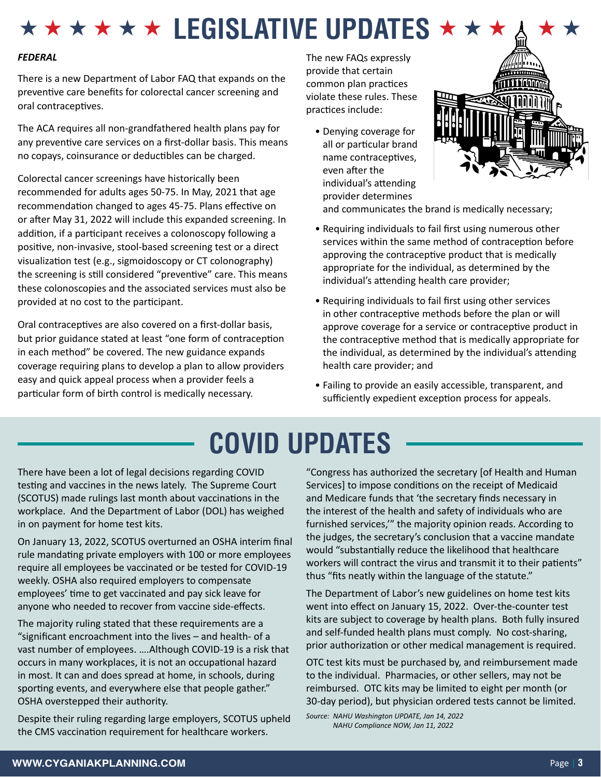### $\star \star \star \star \star \star$  **LEGISLATIVE UPDATES ★ ★ ★**

#### *FEDERAL*

There is a new Department of Labor FAQ that expands on the preventive care benefits for colorectal cancer screening and oral contraceptives.

The ACA requires all non-grandfathered health plans pay for any preventive care services on a first-dollar basis. This means no copays, coinsurance or deductibles can be charged.

Colorectal cancer screenings have historically been recommended for adults ages 50-75. In May, 2021 that age recommendation changed to ages 45-75. Plans effective on or after May 31, 2022 will include this expanded screening. In addition, if a participant receives a colonoscopy following a positive, non-invasive, stool-based screening test or a direct visualization test (e.g., sigmoidoscopy or CT colonography) the screening is still considered "preventive" care. This means these colonoscopies and the associated services must also be provided at no cost to the participant.

Oral contraceptives are also covered on a first-dollar basis, but prior guidance stated at least "one form of contraception in each method" be covered. The new guidance expands coverage requiring plans to develop a plan to allow providers easy and quick appeal process when a provider feels a particular form of birth control is medically necessary.

The new FAQs expressly provide that certain common plan practices violate these rules. These practices include:

• Denying coverage for all or particular brand name contraceptives, even after the individual's attending provider determines



and communicates the brand is medically necessary;

- Requiring individuals to fail first using numerous other services within the same method of contraception before approving the contraceptive product that is medically appropriate for the individual, as determined by the individual's attending health care provider;
- Requiring individuals to fail first using other services in other contraceptive methods before the plan or will approve coverage for a service or contraceptive product in the contraceptive method that is medically appropriate for the individual, as determined by the individual's attending health care provider; and
- Failing to provide an easily accessible, transparent, and sufficiently expedient exception process for appeals.

### **COVID UPDATES**

There have been a lot of legal decisions regarding COVID testing and vaccines in the news lately. The Supreme Court (SCOTUS) made rulings last month about vaccinations in the workplace. And the Department of Labor (DOL) has weighed in on payment for home test kits.

On January 13, 2022, SCOTUS overturned an OSHA interim final rule mandating private employers with 100 or more employees require all employees be vaccinated or be tested for COVID-19 weekly. OSHA also required employers to compensate employees' time to get vaccinated and pay sick leave for anyone who needed to recover from vaccine side-effects.

The majority ruling stated that these requirements are a "significant encroachment into the lives – and health- of a vast number of employees. ….Although COVID-19 is a risk that occurs in many workplaces, it is not an occupational hazard in most. It can and does spread at home, in schools, during sporting events, and everywhere else that people gather." OSHA overstepped their authority.

Despite their ruling regarding large employers, SCOTUS upheld the CMS vaccination requirement for healthcare workers.

"Congress has authorized the secretary [of Health and Human Services] to impose conditions on the receipt of Medicaid and Medicare funds that 'the secretary finds necessary in the interest of the health and safety of individuals who are furnished services,'" the majority opinion reads. According to the judges, the secretary's conclusion that a vaccine mandate would "substantially reduce the likelihood that healthcare workers will contract the virus and transmit it to their patients" thus "fits neatly within the language of the statute."

The Department of Labor's new guidelines on home test kits went into effect on January 15, 2022. Over-the-counter test kits are subject to coverage by health plans. Both fully insured and self-funded health plans must comply. No cost-sharing, prior authorization or other medical management is required.

OTC test kits must be purchased by, and reimbursement made to the individual. Pharmacies, or other sellers, may not be reimbursed. OTC kits may be limited to eight per month (or 30-day period), but physician ordered tests cannot be limited.

*Source: NAHU Washington UPDATE, Jan 14, 2022 NAHU Compliance NOW, Jan 11, 2022*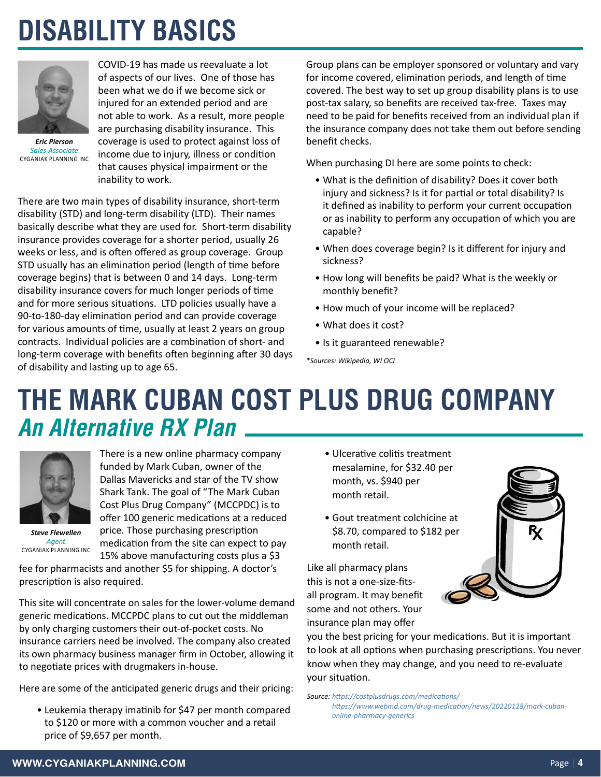### **DISABILITY BASICS**



*Eric Pierson Sales Associate* CYGANIAK PLANNING INC

COVID-19 has made us reevaluate a lot of aspects of our lives. One of those has been what we do if we become sick or injured for an extended period and are not able to work. As a result, more people are purchasing disability insurance. This coverage is used to protect against loss of income due to injury, illness or condition that causes physical impairment or the inability to work.

There are two main types of disability insurance, short-term disability (STD) and long-term disability (LTD). Their names basically describe what they are used for. Short-term disability insurance provides coverage for a shorter period, usually 26 weeks or less, and is often offered as group coverage. Group STD usually has an elimination period (length of time before coverage begins) that is between 0 and 14 days. Long-term disability insurance covers for much longer periods of time and for more serious situations. LTD policies usually have a 90-to-180-day elimination period and can provide coverage for various amounts of time, usually at least 2 years on group contracts. Individual policies are a combination of short- and long-term coverage with benefits often beginning after 30 days of disability and lasting up to age 65.

Group plans can be employer sponsored or voluntary and vary for income covered, elimination periods, and length of time covered. The best way to set up group disability plans is to use post-tax salary, so benefits are received tax-free. Taxes may need to be paid for benefits received from an individual plan if the insurance company does not take them out before sending benefit checks.

When purchasing DI here are some points to check:

- What is the definition of disability? Does it cover both injury and sickness? Is it for partial or total disability? Is it defined as inability to perform your current occupation or as inability to perform any occupation of which you are capable?
- When does coverage begin? Is it different for injury and sickness?
- How long will benefits be paid? What is the weekly or monthly benefit?
- How much of your income will be replaced?
- What does it cost?
- Is it guaranteed renewable?

*\*Sources: Wikipedia, WI OCI*

### **THE MARK CUBAN COST PLUS DRUG COMPANY** *An Alternative RX Plan*



There is a new online pharmacy company funded by Mark Cuban, owner of the Dallas Mavericks and star of the TV show Shark Tank. The goal of "The Mark Cuban Cost Plus Drug Company" (MCCPDC) is to offer 100 generic medications at a reduced price. Those purchasing prescription medication from the site can expect to pay 15% above manufacturing costs plus a \$3

*Steve Flewellen Agent*

CYGANIAK PLANNING INC

fee for pharmacists and another \$5 for shipping. A doctor's prescription is also required.

This site will concentrate on sales for the lower-volume demand generic medications. MCCPDC plans to cut out the middleman by only charging customers their out-of-pocket costs. No insurance carriers need be involved. The company also created its own pharmacy business manager firm in October, allowing it to negotiate prices with drugmakers in-house.

Here are some of the anticipated generic drugs and their pricing:

• Leukemia therapy imatinib for \$47 per month compared to \$120 or more with a common voucher and a retail price of \$9,657 per month.

- Ulcerative colitis treatment mesalamine, for \$32.40 per month, vs. \$940 per month retail.
- Gout treatment colchicine at \$8.70, compared to \$182 per month retail.

Like all pharmacy plans this is not a one-size-fitsall program. It may benefit some and not others. Your insurance plan may offer

you the best pricing for your medications. But it is important to look at all options when purchasing prescriptions. You never know when they may change, and you need to re-evaluate your situation.

*Source: <https://costplusdrugs.com/medications/> [https://www.webmd.com/drug-medication/news/20220128/mark-cuban](https://www.webmd.com/drug-medication/news/20220128/mark-cuban-online-pharmacy-generics)[online-pharmacy-generics](https://www.webmd.com/drug-medication/news/20220128/mark-cuban-online-pharmacy-generics)*